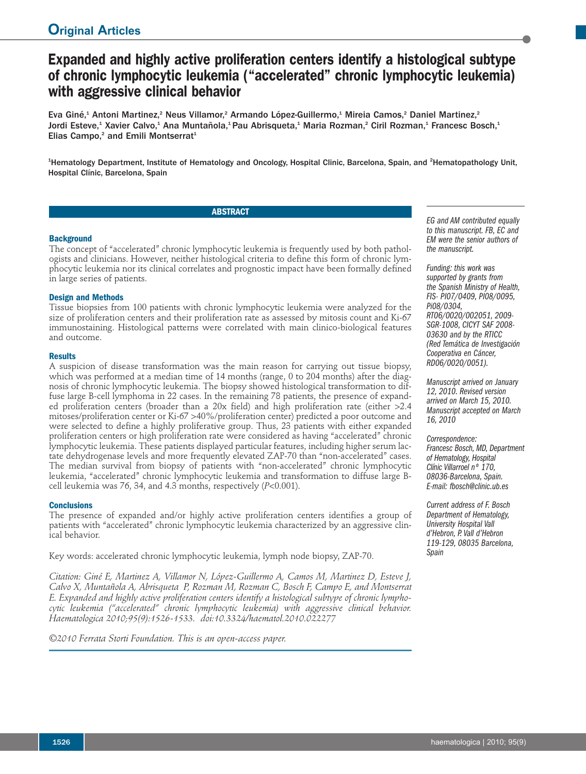# **Expanded and highly active proliferation centers identify a histological subtype of chronic lymphocytic leukemia ("accelerated" chronic lymphocytic leukemia) with aggressive clinical behavior**

Eva Giné,<sup>1</sup> Antoni Martinez,<sup>2</sup> Neus Villamor,<sup>2</sup> Armando López-Guillermo,<sup>1</sup> Mireia Camos,<sup>2</sup> Daniel Martinez,<sup>2</sup> Jordi Esteve,<sup>1</sup> Xavier Calvo,<sup>1</sup> Ana Muntañola,<sup>1</sup> Pau Abrisqueta,<sup>1</sup> Maria Rozman,<sup>2</sup> Ciril Rozman,<sup>1</sup> Francesc Bosch,<sup>1</sup> Elias Campo,<sup>2</sup> and Emili Montserrat<sup>1</sup>

<sup>1</sup>Hematology Department, Institute of Hematology and Oncology, Hospital Clinic, Barcelona, Spain, and <sup>2</sup>Hematopathology Unit, Hospital Clínic, Barcelona, Spain

# **ABSTRACT**

### **Background**

The concept of "accelerated" chronic lymphocytic leukemia is frequently used by both pathologists and clinicians. However, neither histological criteria to define this form of chronic lymphocytic leukemia nor its clinical correlates and prognostic impact have been formally defined in large series of patients.

## **Design and Methods**

Tissue biopsies from 100 patients with chronic lymphocytic leukemia were analyzed for the size of proliferation centers and their proliferation rate as assessed by mitosis count and Ki-67 immunostaining. Histological patterns were correlated with main clinico-biological features and outcome.

#### **Results**

A suspicion of disease transformation was the main reason for carrying out tissue biopsy, which was performed at a median time of 14 months (range, 0 to 204 months) after the diagnosis of chronic lymphocytic leukemia. The biopsy showed histological transformation to diffuse large B-cell lymphoma in 22 cases. In the remaining 78 patients, the presence of expanded proliferation centers (broader than a 20x field) and high proliferation rate (either >2.4 mitoses/proliferation center or Ki-67 >40%/proliferation center) predicted a poor outcome and were selected to define a highly proliferative group. Thus, 23 patients with either expanded proliferation centers or high proliferation rate were considered as having "accelerated" chronic lymphocytic leukemia. These patients displayed particular features, including higher serum lactate dehydrogenase levels and more frequently elevated ZAP-70 than "non-accelerated" cases. The median survival from biopsy of patients with "non-accelerated" chronic lymphocytic leukemia, "accelerated" chronic lymphocytic leukemia and transformation to diffuse large Bcell leukemia was 76, 34, and 4.3 months, respectively (*P*<0.001).

#### **Conclusions**

The presence of expanded and/or highly active proliferation centers identifies a group of patients with "accelerated" chronic lymphocytic leukemia characterized by an aggressive clinical behavior.

Key words: accelerated chronic lymphocytic leukemia, lymph node biopsy, ZAP-70.

*Citation: Giné E, Martinez A, Villamor N, López-Guillermo A, Camos M, Martinez D, Esteve J, Calvo X, Muntañola A, Abrisqueta P, Rozman M, Rozman C, Bosch F, Campo E, and Montserrat E. Expanded and highly active proliferation centers identify a histological subtype of chronic lymphocytic leukemia ("accelerated" chronic lymphocytic leukemia) with aggressive clinical behavior. Haematologica 2010;95(9):1526-1533. doi:10.3324/haematol.2010.022277*

*©2010 Ferrata Storti Foundation. This is an open-access paper.*

*EG and AM contributed equally to this manuscript. FB,EC and EM were the senior authors of the manuscript.*

*Funding: this work was supported by grants from the Spanish Ministry of Health, FIS- PI07/0409, PI08/0095, Pi08/0304, RT06/0020/002051, 2009- SGR-1008, CICYT SAF 2008- 03630 and by the RTICC (RedTemática de Investigación Cooperativa en Cáncer, RD06/0020/0051).*

*Manuscript arrived on January 12, 2010. Revised version arrived on March 15, 2010. Manuscript accepted on March 16, 2010*

# *Correspondence:*

*Francesc Bosch, MD, Department of Hematology, Hospital Clínic Villarroel nº 170, 08036-Barcelona, Spain. E-mail: fbosch@clinic.ub.es*

*Current address of F. Bosch Department of Hematology, University Hospital Vall d'Hebron, P. Vall d'Hebron 119-129, 08035 Barcelona, Spain*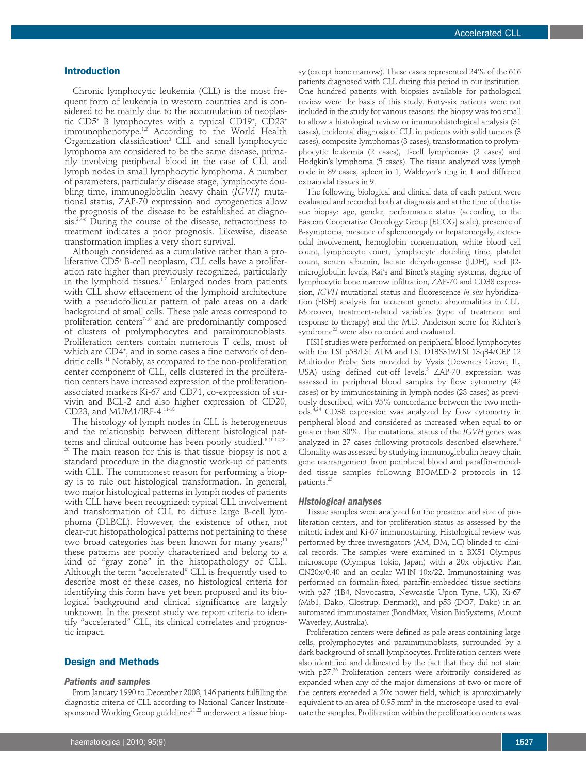#### **Introduction**

Chronic lymphocytic leukemia (CLL) is the most frequent form of leukemia in western countries and is considered to be mainly due to the accumulation of neoplastic CD5+ B lymphocytes with a typical CD19+ , CD23+ immunophenotype. 1,2 According to the World Health Organization classification<sup>3</sup> CLL and small lymphocytic lymphoma are considered to be the same disease, primarily involving peripheral blood in the case of CLL and lymph nodes in small lymphocytic lymphoma. A number of parameters, particularly disease stage, lymphocyte doubling time, immunoglobulin heavy chain (*IGVH*) mutational status, ZAP-70 expression and cytogenetics allow the prognosis of the disease to be established at diagnosis. 2,4-6 During the course of the disease, refractoriness to treatment indicates a poor prognosis. Likewise, disease transformation implies a very short survival.

Although considered as a cumulative rather than a proliferative CD5+ B-cell neoplasm, CLL cells have a proliferation rate higher than previously recognized, particularly in the lymphoid tissues. $^{1,7}$  Enlarged nodes from patients with CLL show effacement of the lymphoid architecture with a pseudofollicular pattern of pale areas on a dark background of small cells. These pale areas correspond to proliferation centers<sup> $7-10$ </sup> and are predominantly composed of clusters of prolymphocytes and paraimmunoblasts. Proliferation centers contain numerous T cells, most of which are CD4+ , and in some cases a fine network of dendritic cells. <sup>11</sup> Notably, as compared to the non-proliferation center component of CLL, cells clustered in the proliferation centers have increased expression of the proliferationassociated markers Ki-67 and CD71, co-expression of survivin and BCL-2 and also higher expression of CD20, CD23, and MUM1/IRF-4. $^{11-18}$ 

The histology of lymph nodes in CLL is heterogeneous and the relationship between different histological patterns and clinical outcome has been poorly studied. 8-10,12,18-

The main reason for this is that tissue biopsy is not a standard procedure in the diagnostic work-up of patients with CLL. The commonest reason for performing a biopsy is to rule out histological transformation. In general, two major histological patterns in lymph nodes of patients with CLL have been recognized: typical CLL involvement and transformation of CLL to diffuse large B-cell lymphoma (DLBCL). However, the existence of other, not clear-cut histopathological patterns not pertaining to these two broad categories has been known for many years; $^{\scriptscriptstyle 10}$ these patterns are poorly characterized and belong to a kind of "gray zone" in the histopathology of CLL. Although the term "accelerated" CLL is frequently used to describe most of these cases, no histological criteria for identifying this form have yet been proposed and its biological background and clinical significance are largely unknown. In the present study we report criteria to identify "accelerated" CLL, its clinical correlates and prognostic impact.

#### **Design and Methods**

# *Patients and samples*

From January 1990 to December 2008, 146 patients fulfilling the diagnostic criteria of CLL according to National Cancer Institutesponsored Working Group guidelines<sup>21,22</sup> underwent a tissue biop-

sy (except bone marrow). These cases represented 24% of the 616 patients diagnosed with CLL during this period in our institution. One hundred patients with biopsies available for pathological review were the basis of this study. Forty-six patients were not included in the study for various reasons: the biopsy was too small to allow a histological review or immunohistological analysis (31 cases), incidental diagnosis of CLL in patients with solid tumors (3 cases), composite lymphomas (3 cases), transformation to prolymphocytic leukemia (2 cases), T-cell lymphomas (2 cases) and Hodgkin's lymphoma (5 cases). The tissue analyzed was lymph node in 89 cases, spleen in 1, Waldeyer's ring in 1 and different extranodal tissues in 9.

The following biological and clinical data of each patient were evaluated and recorded both at diagnosis and at the time of the tissue biopsy: age, gender, performance status (according to the Eastern Cooperative Oncology Group [ECOG] scale), presence of B-symptoms, presence of splenomegaly or hepatomegaly, extranodal involvement, hemoglobin concentration, white blood cell count, lymphocyte count, lymphocyte doubling time, platelet count, serum albumin, lactate dehydrogenase (LDH), and  $\beta$ 2microglobulin levels, Rai's and Binet's staging systems, degree of lymphocytic bone marrow infiltration, ZAP-70 and CD38 expression, *IGVH* mutational status and fluorescence *in situ* hybridization (FISH) analysis for recurrent genetic abnormalities in CLL. Moreover, treatment-related variables (type of treatment and response to therapy) and the M.D. Anderson score for Richter's syndrome<sup>23</sup> were also recorded and evaluated.

FISH studies were performed on peripheral blood lymphocytes with the LSI p53/LSI ATM and LSI D13S319/LSI 13q34/CEP 12 Multicolor Probe Sets provided by Vysis (Downers Grove, IL, USA) using defined cut-off levels.<sup>5</sup> ZAP-70 expression was assessed in peripheral blood samples by flow cytometry (42 cases) or by immunostaining in lymph nodes (23 cases) as previously described, with 95% concordance between the two methods. 4,24 CD38 expression was analyzed by flow cytometry in peripheral blood and considered as increased when equal to or greater than 30%. The mutational status of the *IGVH* genes was analyzed in 27 cases following protocols described elsewhere. 4 Clonality was assessed by studying immunoglobulin heavy chain gene rearrangement from peripheral blood and paraffin-embedded tissue samples following BIOMED-2 protocols in 12 patients. 25

#### *Histological analyses*

Tissue samples were analyzed for the presence and size of proliferation centers, and for proliferation status as assessed by the mitotic index and Ki-67 immunostaining. Histological review was performed by three investigators (AM, DM, EC) blinded to clinical records. The samples were examined in a BX51 Olympus microscope (Olympus Tokio, Japan) with a 20x objective Plan CN20x/0.40 and an ocular WHN 10x/22. Immunostaining was performed on formalin-fixed, paraffin-embedded tissue sections with p27 (1B4, Novocastra, Newcastle Upon Tyne, UK), Ki-67 (Mib1, Dako, Glostrup, Denmark), and p53 (DO7, Dako) in an automated immunostainer (BondMax, Vision BioSystems, Mount Waverley, Australia).

Proliferation centers were defined as pale areas containing large cells, prolymphocytes and paraimmunoblasts, surrounded by a dark background of small lymphocytes. Proliferation centers were also identified and delineated by the fact that they did not stain with p27. <sup>26</sup> Proliferation centers were arbitrarily considered as expanded when any of the major dimensions of two or more of the centers exceeded a 20x power field, which is approximately equivalent to an area of 0.95 mm<sup>2</sup> in the microscope used to evaluate the samples. Proliferation within the proliferation centers was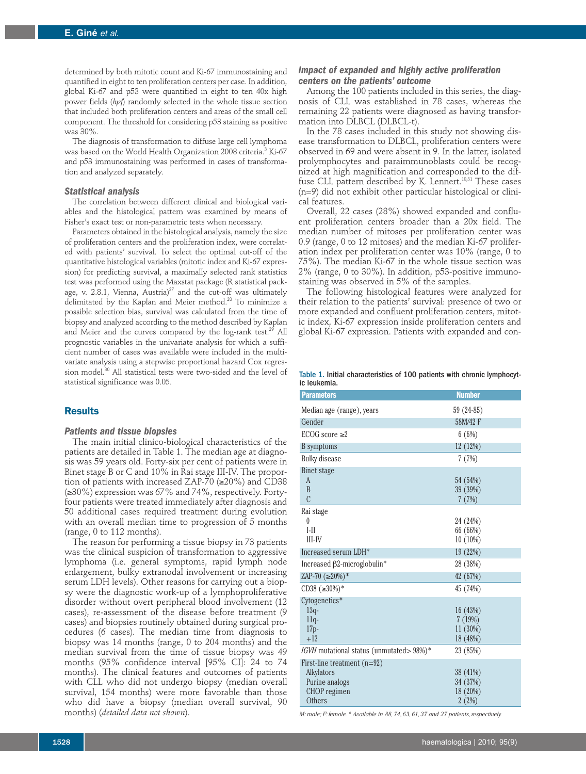determined by both mitotic count and Ki-67 immunostaining and quantified in eight to ten proliferation centers per case. In addition, global Ki-67 and p53 were quantified in eight to ten 40x high power fields (*hpf*) randomly selected in the whole tissue section that included both proliferation centers and areas of the small cell component. The threshold for considering p53 staining as positive was 30%.

The diagnosis of transformation to diffuse large cell lymphoma was based on the World Health Organization 2008 criteria. <sup>3</sup> Ki-67 and p53 immunostaining was performed in cases of transformation and analyzed separately.

#### *Statistical analysis*

The correlation between different clinical and biological variables and the histological pattern was examined by means of Fisher's exact test or non-parametric tests when necessary.

Parameters obtained in the histological analysis, namely the size of proliferation centers and the proliferation index, were correlated with patients' survival. To select the optimal cut-off of the quantitative histological variables (mitotic index and Ki-67 expression) for predicting survival, a maximally selected rank statistics test was performed using the Maxstat package (R statistical package, v. 2.8.1, Vienna, Austria) $^{27}$  and the cut-off was ultimately delimitated by the Kaplan and Meier method. <sup>28</sup> To minimize a possible selection bias, survival was calculated from the time of biopsy and analyzed according to the method described by Kaplan and Meier and the curves compared by the log-rank test.<sup>29</sup> All prognostic variables in the univariate analysis for which a sufficient number of cases was available were included in the multivariate analysis using a stepwise proportional hazard Cox regression model. <sup>30</sup> All statistical tests were two-sided and the level of statistical significance was 0.05.

#### **Results**

#### *Patients and tissue biopsies*

The main initial clinico-biological characteristics of the patients are detailed in Table 1. The median age at diagnosis was 59 years old. Forty-six per cent of patients were in Binet stage B or C and 10% in Rai stage III-IV. The proportion of patients with increased ZAP-70 (≥20%) and CD38 (≥30%) expression was 67% and 74%, respectively. Fortyfour patients were treated immediately after diagnosis and 50 additional cases required treatment during evolution with an overall median time to progression of 5 months (range, 0 to 112 months).

The reason for performing a tissue biopsy in 73 patients was the clinical suspicion of transformation to aggressive lymphoma (i.e. general symptoms, rapid lymph node enlargement, bulky extranodal involvement or increasing serum LDH levels). Other reasons for carrying out a biopsy were the diagnostic work-up of a lymphoproliferative disorder without overt peripheral blood involvement (12 cases), re-assessment of the disease before treatment (9 cases) and biopsies routinely obtained during surgical procedures (6 cases). The median time from diagnosis to biopsy was 14 months (range, 0 to 204 months) and the median survival from the time of tissue biopsy was 49 months (95% confidence interval [95% CI]: 24 to 74 months). The clinical features and outcomes of patients with CLL who did not undergo biopsy (median overall survival, 154 months) were more favorable than those who did have a biopsy (median overall survival, 90 months) (*detailed data not shown*).

#### *Impact of expanded and highly active proliferation centers on the patients' outcome*

Among the 100 patients included in this series, the diagnosis of CLL was established in 78 cases, whereas the remaining 22 patients were diagnosed as having transformation into DLBCL (DLBCL-t).

In the 78 cases included in this study not showing disease transformation to DLBCL, proliferation centers were observed in 69 and were absent in 9. In the latter, isolated prolymphocytes and paraimmunoblasts could be recognized at high magnification and corresponded to the diffuse CLL pattern described by K. Lennert. 10,31 These cases (n=9) did not exhibit other particular histological or clinical features.

Overall, 22 cases (28%) showed expanded and confluent proliferation centers broader than a 20x field. The median number of mitoses per proliferation center was 0.9 (range, 0 to 12 mitoses) and the median Ki-67 proliferation index per proliferation center was 10% (range, 0 to 75%). The median Ki-67 in the whole tissue section was 2% (range, 0 to 30%). In addition, p53-positive immunostaining was observed in 5% of the samples.

The following histological features were analyzed for their relation to the patients' survival: presence of two or more expanded and confluent proliferation centers, mitotic index, Ki-67 expression inside proliferation centers and global Ki-67 expression. Patients with expanded and con-

Table 1. Initial characteristics of 100 patients with chronic lymphocytic leukemia.

| <b>Parameters</b>                              | <b>Number</b>        |
|------------------------------------------------|----------------------|
| Median age (range), years                      | 59 (24-85)           |
| Gender                                         | 58M/42 F             |
| ECOG score $\geq 2$                            | 6(6%)                |
| <b>B</b> symptoms                              | 12(12%)              |
| <b>Bulky</b> disease                           | 7(7%)                |
| <b>Binet stage</b>                             |                      |
| A                                              | 54 (54%)             |
| B<br>$\overline{C}$                            | 39 (39%)             |
|                                                | 7(7%)                |
| Rai stage                                      |                      |
| $\theta$<br>$I-II$                             | 24 (24%)<br>66 (66%) |
| $III$ - $IV$                                   | $10(10\%)$           |
| Increased serum LDH*                           | 19 (22%)             |
| Increased $\beta$ 2-microglobulin <sup>*</sup> | 28 (38%)             |
| ZAP-70 $(\geq 20\%)$ *                         | 42 (67%)             |
| CD38 $(\geq 30\%)$ *                           | 45 (74%)             |
| Cytogenetics*                                  |                      |
| $13q-$                                         | 16(43%)              |
| $11q-$                                         | 7(19%)               |
| $17p-$                                         | 11(30%)              |
| $+12$                                          | 18 (48%)             |
| IGVH mutational status (unmutated> 98%)*       | 23 (85%)             |
| First-line treatment $(n=92)$                  |                      |
| Alkylators                                     | 38 (41%)             |
| Purine analogs                                 | 34 (37%)             |
| CHOP regimen                                   | 18 (20%)             |
| Others                                         | 2(2%)                |

*M: male; F: female.\* Available in 88,74,63,61,37 and 27 patients,respectively.*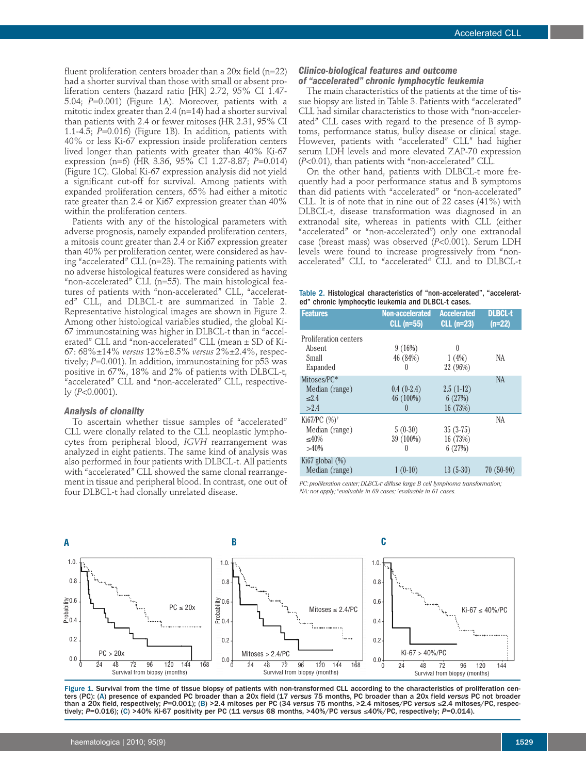fluent proliferation centers broader than a 20x field (n=22) had a shorter survival than those with small or absent proliferation centers (hazard ratio [HR] 2.72, 95% CI 1.47- 5.04; *P*=0.001) (Figure 1A). Moreover, patients with a mitotic index greater than 2.4 (n=14) had a shorter survival than patients with 2.4 or fewer mitoses (HR 2.31, 95% CI 1.1-4.5; *P*=0.016) (Figure 1B). In addition, patients with 40% or less Ki-67 expression inside proliferation centers lived longer than patients with greater than 40% Ki-67 expression (n=6) (HR 3.36, 95% CI 1.27-8.87; *P*=0.014) (Figure 1C). Global Ki-67 expression analysis did not yield a significant cut-off for survival. Among patients with expanded proliferation centers, 65% had either a mitotic rate greater than 2.4 or Ki67 expression greater than 40% within the proliferation centers.

Patients with any of the histological parameters with adverse prognosis, namely expanded proliferation centers, a mitosis count greater than 2.4 or Ki67 expression greater than 40% per proliferation center, were considered as having "accelerated" CLL (n=23). The remaining patients with no adverse histological features were considered as having "non-accelerated" CLL (n=55). The main histological features of patients with "non-accelerated" CLL, "accelerated" CLL, and DLBCL-t are summarized in Table 2. Representative histological images are shown in Figure 2. Among other histological variables studied, the global Ki-67 immunostaining was higher in DLBCL-t than in "accelerated" CLL and "non-accelerated" CLL (mean  $\pm$  SD of Ki-67: 68%±14% *versus* 12%±8.5% *versus* 2%±2.4%, respectively; *P*=0.001). In addition, immunostaining for p53 was positive in 67%, 18% and 2% of patients with DLBCL-t, 'accelerated" CLL and "non-accelerated" CLL, respectively (*P*<0.0001).

#### *Analysis of clonality*

To ascertain whether tissue samples of "accelerated" CLL were clonally related to the CLL neoplastic lymphocytes from peripheral blood, *IGVH* rearrangement was analyzed in eight patients. The same kind of analysis was also performed in four patients with DLBCL-t. All patients with "accelerated" CLL showed the same clonal rearrangement in tissue and peripheral blood. In contrast, one out of four DLBCL-t had clonally unrelated disease.

#### *Clinico-biological features and outcome of "accelerated" chronic lymphocytic leukemia*

The main characteristics of the patients at the time of tissue biopsy are listed in Table 3. Patients with "accelerated" CLL had similar characteristics to those with "non-accelerated" CLL cases with regard to the presence of B symptoms, performance status, bulky disease or clinical stage. However, patients with "accelerated" CLL" had higher serum LDH levels and more elevated ZAP-70 expression (*P*<0.01), than patients with "non-accelerated" CLL.

On the other hand, patients with DLBCL-t more frequently had a poor performance status and B symptoms than did patients with "accelerated" or "non-accelerated" CLL. It is of note that in nine out of 22 cases (41%) with DLBCL-t, disease transformation was diagnosed in an extranodal site, whereas in patients with CLL (either "accelerated" or "non-accelerated") only one extranodal case (breast mass) was observed (*P*<0.001). Serum LDH levels were found to increase progressively from "nonaccelerated" CLL to "accelerated" CLL and to DLBCL-t

|  | Table 2. Histological characteristics of "non-accelerated", "accelerat- |  |  |
|--|-------------------------------------------------------------------------|--|--|
|  | ed" chronic lymphocytic leukemia and DLBCL-t cases.                     |  |  |

| <b>Features</b>                                               | Non-accelerated<br>$CLL$ (n=55)               | <b>Accelerated</b><br><b>CLL (n=23)</b> | <b>DLBCL-t</b><br>$(n=22)$ |
|---------------------------------------------------------------|-----------------------------------------------|-----------------------------------------|----------------------------|
| <b>Proliferation centers</b><br>Absent<br>Small<br>Expanded   | 9(16%)<br>46 (84%)<br>$\theta$                | $\theta$<br>1(4%)<br>22 (96%)           | NA                         |
| Mitoses/PC*<br>Median (range)<br>2.4<br>>2.4                  | $0.4(0-2.4)$<br>46 (100%)<br>$\left( \right)$ | $2.5(1-12)$<br>6(27%)<br>16 (73%)       | <b>NA</b>                  |
| Ki67/PC (%) <sup>+</sup><br>Median (range)<br>≤40%<br>$>40\%$ | $5(0-30)$<br>39 (100%)<br>0                   | $35(3-75)$<br>16 (73%)<br>6(27%)        | NA                         |
| Ki $67$ global $(\%)$<br>Median (range)                       | $1(0-10)$                                     | $13(5-30)$                              | $70(50-90)$                |

*PC: proliferation center; DLBCL-t: diffuse large B cell lymphoma transformation; NA: not apply;\*evaluable in 69 cases; † evaluable in 61 cases.*



Figure 1. Survival from the time of tissue biopsy of patients with non-transformed CLL according to the characteristics of proliferation centers (PC): (A) presence of expanded PC broader than a 20x field (17 *versus* 75 months, PC broader than a 20x field *versus* PC not broader than a 20x field, respectively; *P*=0.001); (B) >2.4 mitoses per PC (34 *versus* 75 months, >2.4 mitoses/PC *versus* ≤2.4 mitoses/PC, respectively; *P*=0.016); (C) >40% Ki-67 positivity per PC (11 *versus* 68 months, >40%/PC *versus* ≤40%/PC, respectively; *P*=0.014).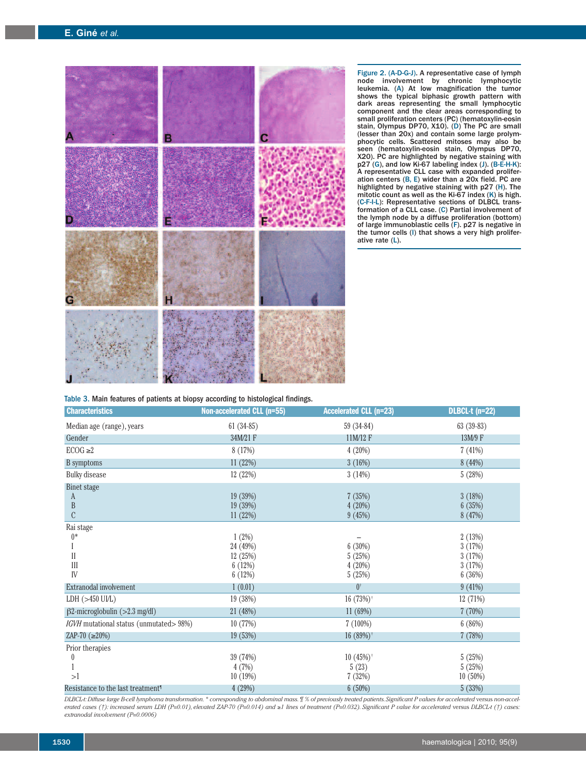

Figure 2. (A-D-G-J). A representative case of lymph node involvement by chronic lymphocytic leukemia. (A) At low magnification the tumor shows the typical biphasic growth pattern with dark areas representing the small lymphocytic component and the clear areas corresponding to small proliferation centers (PC) (hematoxylin-eosin stain, Olympus DP70, X10). (D) The PC are small (lesser than 20x) and contain some large prolymphocytic cells. Scattered mitoses may also be seen (hematoxylin-eosin stain, Olympus DP70, X20). PC are highlighted by negative staining with p27 (G), and low Ki-67 labeling index (J). (B-E-H-K): A representative CLL case with expanded proliferation centers (B, E) wider than a 20x field. PC are highlighted by negative staining with p27 (H). The mitotic count as well as the Ki-67 index (K) is high. (C-F-I-L): Representative sections of DLBCL transformation of a CLL case. (C) Partial involvement of the lymph node by a diffuse proliferation (bottom) of large immunoblastic cells (F). p27 is negative in the tumor cells (I) that shows a very high proliferative rate (L).

|  | Table 3. Main features of patients at biopsy according to histological findings. |  |  |  |  |  |  |
|--|----------------------------------------------------------------------------------|--|--|--|--|--|--|
|--|----------------------------------------------------------------------------------|--|--|--|--|--|--|

| <b>Characteristics</b>                        | <b>Non-accelerated CLL (n=55)</b> | <b>Accelerated CLL (n=23)</b> | <b>DLBCL-t (n=22)</b> |
|-----------------------------------------------|-----------------------------------|-------------------------------|-----------------------|
| Median age (range), years                     | $61(34-85)$                       | 59 (34-84)                    | $63(39-83)$           |
| Gender                                        | 34M/21 F                          | 11M/12 F                      | 13M/9 F               |
| $ECOG \geq 2$                                 | 8(17%)                            | 4 (20%)                       | 7(41%)                |
| B symptoms                                    | 11 (22%)                          | 3(16%)                        | 8(44%)                |
| <b>Bulky</b> disease                          | 12 (22%)                          | 3(14%)                        | 5(28%)                |
| <b>Binet stage</b>                            |                                   |                               |                       |
| A                                             | 19 (39%)                          | 7(35%)                        | 3(18%)                |
| B                                             | 19 (39%)                          | 4(20%)                        | 6(35%)                |
| $\mathcal{C}$                                 | 11 (22%)                          | 9(45%)                        | 8(47%)                |
| Rai stage                                     |                                   |                               |                       |
| $0*$                                          | 1(2%)                             |                               | 2(13%)                |
|                                               | 24 (49%)                          | 6(30%)                        | 3(17%)                |
| $\mathbf{I}$                                  | 12 (25%)                          | 5(25%)                        | 3(17%)                |
| III                                           | 6(12%)                            | 4(20%)                        | 3(17%)                |
| IV                                            | 6(12%)                            | 5(25%)                        | 6(36%)                |
| Extranodal involvement                        | 1(0.01)                           | $0^{\dagger}$                 | 9(41%)                |
| LDH $(>450$ UI/L)                             | 19 (38%)                          | $16(73%)$ <sup>†</sup>        | 12(71%)               |
| $\beta$ 2-microglobulin (>2.3 mg/dl)          | 21 (48%)                          | 11(69%)                       | 7(70%)                |
| IGVH mutational status (unmutated> 98%)       | 10(77%)                           | $7(100\%)$                    | 6(86%)                |
| ZAP-70 $(\geq 20\%)$                          | 19 (53%)                          | $16(89%)$ <sup>†</sup>        | 7(78%)                |
| Prior therapies                               |                                   |                               |                       |
| 0                                             | 39 (74%)                          | $10(45\%)$ <sup>†</sup>       | 5(25%)                |
|                                               | 4(7%)                             | 5(23)                         | 5(25%)                |
| >1                                            | 10(19%)                           | 7(32%)                        | 10 (50%)              |
| Resistance to the last treatment <sup>1</sup> | 4 (29%)                           | 6(50%)                        | 5(33%)                |

DLBCLI: Diffuse large B-cell lymphoma transformation. \* corresponding to abdominal mass.  $\frac{m}{2}$  % of previously treated patients. Significant P values for accelerated versus non-accelerated cases (1): increased serum LDH (P=0.01), elevated ZAP-70 (P=0.014) and ≥1 lines of treatment (P=0.032). Significant P value for accelerated versus DLBCL-t (1) cases: *extranodal involvement (P=0.0006)*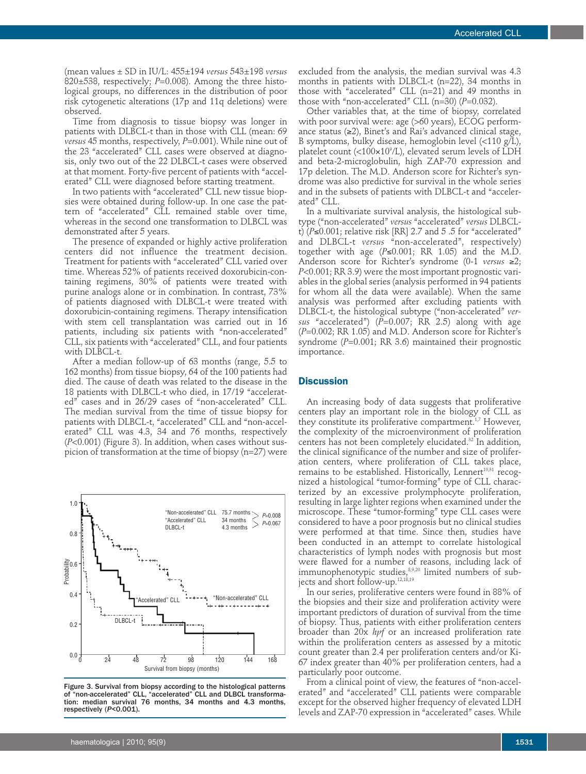(mean values ± SD in IU/L: 455±194 *versus* 543±198 *versus* 820±538, respectively; *P*=0.008). Among the three histological groups, no differences in the distribution of poor risk cytogenetic alterations (17p and 11q deletions) were observed.

Time from diagnosis to tissue biopsy was longer in patients with DLBCL-t than in those with CLL (mean: 69 *versus* 45 months, respectively, *P*=0.001). While nine out of the 23 "accelerated" CLL cases were observed at diagnosis, only two out of the 22 DLBCL-t cases were observed at that moment. Forty-five percent of patients with "accelerated" CLL were diagnosed before starting treatment.

In two patients with "accelerated" CLL new tissue biopsies were obtained during follow-up. In one case the pattern of "accelerated" CLL remained stable over time, whereas in the second one transformation to DLBCL was demonstrated after 5 years.

The presence of expanded or highly active proliferation centers did not influence the treatment decision. Treatment for patients with "accelerated" CLL varied over time. Whereas 52% of patients received doxorubicin-containing regimens,  $30\%$  of patients were treated with purine analogs alone or in combination. In contrast, 73% of patients diagnosed with DLBCL-t were treated with doxorubicin-containing regimens. Therapy intensification with stem cell transplantation was carried out in 16 patients, including six patients with "non-accelerated" CLL, six patients with "accelerated" CLL, and four patients with DLBCL-t.

After a median follow-up of 63 months (range, 5.5 to 162 months) from tissue biopsy, 64 of the 100 patients had died. The cause of death was related to the disease in the 18 patients with DLBCL-t who died, in 17/19 "accelerated" cases and in 26/29 cases of "non-accelerated" CLL. The median survival from the time of tissue biopsy for patients with DLBCL-t, "accelerated" CLL and "non-accelerated" CLL was 4.3, 34 and 76 months, respectively (*P*<0.001) (Figure 3). In addition, when cases without suspicion of transformation at the time of biopsy (n=27) were



Figure 3. Survival from biopsy according to the histological patterns of "non-accelerated" CLL, "accelerated" CLL and DLBCL transformation: median survival 76 months, 34 months and 4.3 months, respectively (*P*<0.001).

excluded from the analysis, the median survival was 4.3 months in patients with DLBCL-t (n=22), 34 months in those with "accelerated" CLL (n=21) and 49 months in those with "non-accelerated" CLL (n=30) (*P*=0.032).

Other variables that, at the time of biopsy, correlated with poor survival were: age (>60 years), ECOG performance status (≥2), Binet's and Rai's advanced clinical stage, B symptoms, bulky disease, hemoglobin level (<110 g/L), platelet count (<100×10°/L), elevated serum levels of LDH and beta-2-microglobulin, high ZAP-70 expression and 17p deletion. The M.D. Anderson score for Richter's syndrome was also predictive for survival in the whole series and in the subsets of patients with DLBCL-t and "accelerated" CLL.

In a multivariate survival analysis, the histological subtype ("non-accelerated" *versus* "accelerated" *versus* DLBCLt) (*P*≤0.001; relative risk [RR] 2.7 and 5 .5 for "accelerated" and DLBCL-t *versus* "non-accelerated", respectively) together with age  $(P \le 0.001$ ; RR 1.05) and the M.D. Anderson score for Richter's syndrome (0-1 *versus* ≥2; *P*<0.001; RR 3.9) were the most important prognostic variables in the global series (analysis performed in 94 patients for whom all the data were available). When the same analysis was performed after excluding patients with DLBCL-t, the histological subtype ("non-accelerated" *versus* "accelerated") (*P*=0.007; RR 2.5) along with age (*P*=0.002; RR 1.05) and M.D. Anderson score for Richter's syndrome (*P*=0.001; RR 3.6) maintained their prognostic importance.

#### **Discussion**

An increasing body of data suggests that proliferative centers play an important role in the biology of CLL as they constitute its proliferative compartment.<sup>1,7</sup> However, the complexity of the microenvironment of proliferation centers has not been completely elucidated. <sup>32</sup> In addition, the clinical significance of the number and size of proliferation centers, where proliferation of CLL takes place, remains to be established. Historically, Lennert 10,31 recognized a histological "tumor-forming" type of CLL characterized by an excessive prolymphocyte proliferation, resulting in large lighter regions when examined under the microscope. These "tumor-forming" type CLL cases were considered to have a poor prognosis but no clinical studies were performed at that time. Since then, studies have been conducted in an attempt to correlate histological characteristics of lymph nodes with prognosis but most were flawed for a number of reasons, including lack of immunophenotypic studies, 8,9,20 limited numbers of subjects and short follow-up. 12,18,19

In our series, proliferative centers were found in 88% of the biopsies and their size and proliferation activity were important predictors of duration of survival from the time of biopsy. Thus, patients with either proliferation centers broader than 20x *hpf* or an increased proliferation rate within the proliferation centers as assessed by a mitotic count greater than 2.4 per proliferation centers and/or Ki-67 index greater than 40% per proliferation centers, had a particularly poor outcome.

From a clinical point of view, the features of "non-accelerated" and "accelerated" CLL patients were comparable except for the observed higher frequency of elevated LDH levels and ZAP-70 expression in "accelerated" cases. While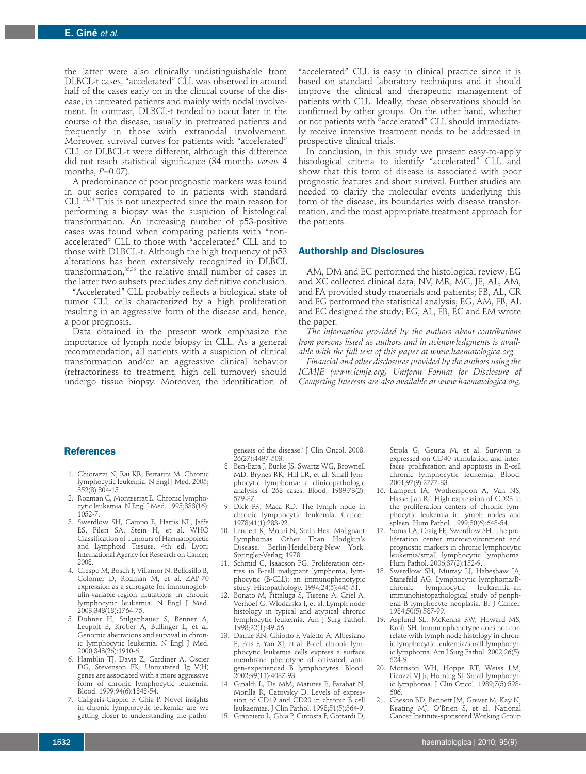the latter were also clinically undistinguishable from DLBCL-t cases, "accelerated" CLL was observed in around half of the cases early on in the clinical course of the disease, in untreated patients and mainly with nodal involvement. In contrast, DLBCL-t tended to occur later in the course of the disease, usually in pretreated patients and frequently in those with extranodal involvement. Moreover, survival curves for patients with "accelerated" CLL or DLBCL-t were different, although this difference did not reach statistical significance (34 months *versus* 4 months, *P*=0.07).

A predominance of poor prognostic markers was found in our series compared to in patients with standard CLL. 33,34 This is not unexpected since the main reason for performing a biopsy was the suspicion of histological transformation. An increasing number of p53-positive cases was found when comparing patients with "nonaccelerated" CLL to those with "accelerated" CLL and to those with DLBCL-t. Although the high frequency of p53 alterations has been extensively recognized in DLBCL transformation, 35,36 the relative small number of cases in the latter two subsets precludes any definitive conclusion.

"Accelerated" CLL probably reflects a biological state of tumor CLL cells characterized by a high proliferation resulting in an aggressive form of the disease and, hence, a poor prognosis.

Data obtained in the present work emphasize the importance of lymph node biopsy in CLL. As a general recommendation, all patients with a suspicion of clinical transformation and/or an aggressive clinical behavior (refractoriness to treatment, high cell turnover) should undergo tissue biopsy. Moreover, the identification of

"accelerated" CLL is easy in clinical practice since it is based on standard laboratory techniques and it should improve the clinical and therapeutic management of patients with CLL. Ideally, these observations should be confirmed by other groups. On the other hand, whether or not patients with "accelerated" CLL should immediately receive intensive treatment needs to be addressed in prospective clinical trials.

In conclusion, in this study we present easy-to-apply histological criteria to identify "accelerated" CLL and show that this form of disease is associated with poor prognostic features and short survival. Further studies are needed to clarify the molecular events underlying this form of the disease, its boundaries with disease transformation, and the most appropriate treatment approach for the patients.

# **Authorship and Disclosures**

AM, DM and EC performed the histological review; EG and XC collected clinical data; NV, MR, MC, JE, AL, AM, and PA provided study materials and patients; FB, AL, CR and EG performed the statistical analysis; EG, AM, FB, AL and EC designed the study; EG, AL, FB, EC and EM wrote the paper.

*The information provided by the authors about contributions from persons listed as authors and in acknowledgments is available with the full text of this paper at www.haematologica.org.*

*Financial and other disclosures provided by the authors using the ICMJE (www.icmje.org) Uniform Format for Disclosure of Competing Interests are also available at www.haematologica.org.*

#### **References**

- 1. Chiorazzi N, Rai KR, Ferrarini M. Chronic lymphocytic leukemia. N Engl J Med. 2005; 352(8):804-15.
- 2. Rozman C, Montserrat E. Chronic lymphocytic leukemia. N Engl J Med. 1995;333(16): 1052-7.
- 3. Swerdlow SH, Campo E, Harris NL, Jaffe ES, Pileri SA, Stein H, et al. WHO Classification of Tumours of Haematopoietic and Lymphoid Tissues. 4th ed. Lyon: International Agency for Research on Cancer; 2008.
- 4. Crespo M, Bosch F, Villamor N, Bellosillo B, Colomer D, Rozman M, et al. ZAP-70 expression as a surrogate for immunoglobulin-variable-region mutations in chronic lymphocytic leukemia. N Engl J Med. 2003;348(18):1764-75.
- 5. Dohner H, Stilgenbauer S, Benner A, Leupolt E, Krober A, Bullinger L, et al. Genomic aberrations and survival in chronic lymphocytic leukemia. N Engl J Med. 2000;343(26):1910-6.
- 6. Hamblin TJ, Davis Z, Gardiner A, Oscier DG, Stevenson FK. Unmutated Ig V(H) genes are associated with a more aggressive form of chronic lymphocytic leukemia. Blood. 1999;94(6):1848-54.
- 7. Caligaris-Cappio F, Ghia P. Novel insights in chronic lymphocytic leukemia: are we getting closer to understanding the patho-

genesis of the disease? J Clin Oncol. 2008; 26(27):4497-503.

- 8. Ben-Ezra J, Burke JS, Swartz WG, Brownell MD, Brynes RK, Hill LR, et al. Small lymphocytic lymphoma: a clinicopathologic analysis of 268 cases. Blood. 1989;73(2): 579-87.
- 9. Dick FR, Maca RD. The lymph node in chronic lymphocytic leukemia. Cancer. 1978;41(1):283-92.
- 10. Lennert K, Mohri N, Stein Hea. Malignant Lymphomas Other Than Hodgkin's Disease. Berlin-Heidelberg-New Springler-Verlag; 1978.
- 11. Schmid C, Isaacson PG. Proliferation centres in B-cell malignant lymphoma, lymphocytic (B-CLL): an immunophenotypic study. Histopathology. 1994;24(5):445-51.
- 12. Bonato M, Pittaluga S, Tierens A, Criel A, Verhoef G, Wlodarska I, et al. Lymph node histology in typical and atypical chronic lymphocytic leukemia. Am J Surg Pathol. 1998;22(1):49-56.
- 13. Damle RN, Ghiotto F, Valetto A, Albesiano E, Fais F, Yan XJ, et al. B-cell chronic lymphocytic leukemia cells express a surface membrane phenotype of activated, antigen-experienced B lymphocytes. Blood. 2002;99(11):4087-93.
- 14. Ginaldi L, De MM, Matutes E, Farahat N, Morilla R, Catovsky D. Levels of expression of CD19 and CD20 in chronic B cell leukaemias. J Clin Pathol. 1998;51(5):364-9.
- 15. Granziero L, Ghia P, Circosta P, Gottardi D,

Strola G, Geuna M, et al. Survivin is expressed on CD40 stimulation and interfaces proliferation and apoptosis in B-cell chronic lymphocytic leukemia. Blood. 2001;97(9):2777-83.

- 16. Lampert IA, Wotherspoon A, Van NS, Hasserjian RP. High expression of CD23 in the proliferation centers of chronic lymphocytic leukemia in lymph nodes and spleen. Hum Pathol. 1999;30(6):648-54.
- 17. Soma LA, Craig FE, Swerdlow SH. The proliferation center microenvironment and prognostic markers in chronic lymphocytic leukemia/small lymphocytic lymphoma. Hum Pathol. 2006;37(2):152-9.
- 18. Swerdlow SH, Murray LJ, Habeshaw JA, Stansfeld AG. Lymphocytic lymphoma/Bchronic lymphocytic leukaemia–an immunohistopathological study of peripheral B lymphocyte neoplasia. Br J Cancer. 1984;50(5):587-99.
- 19. Asplund SL, McKenna RW, Howard MS, Kroft SH. Immunophenotype does not correlate with lymph node histology in chronic lymphocytic leukemia/small lymphocytic lymphoma. Am J Surg Pathol. 2002;26(5): 624-9.
- 20. Morrison WH, Hoppe RT, Weiss LM, Picozzi VJ Jr, Horning SJ. Small lymphocytic lymphoma. J Clin Oncol. 1989;7(5):598- 606.
- 21. Cheson BD, Bennett JM, Grever M, Kay N, Keating MJ, O'Brien S, et al. National Cancer Institute-sponsored Working Group